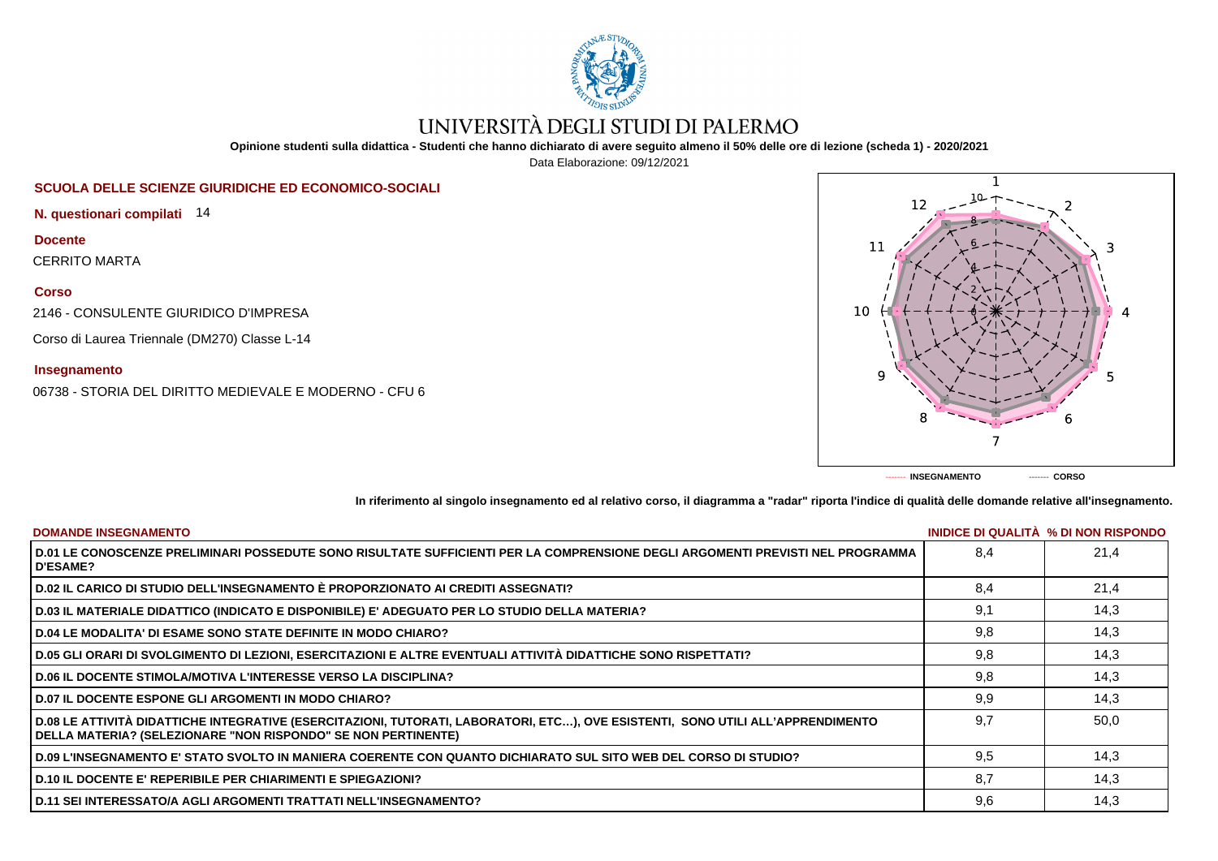

# UNIVERSITÀ DEGLI STUDI DI PALERMO

**Opinione studenti sulla didattica - Studenti che hanno dichiarato di avere seguito almeno il 50% delle ore di lezione (scheda 1) - 2020/2021**

Data Elaborazione: 09/12/2021

## **SCUOLA DELLE SCIENZE GIURIDICHE ED ECONOMICO-SOCIALI**

**N. questionari compilati** 14

**Docente** CERRITO MARTA

**Corso**

2146 - CONSULENTE GIURIDICO D'IMPRESA

Corso di Laurea Triennale (DM270) Classe L-14

### **Insegnamento**

06738 - STORIA DEL DIRITTO MEDIEVALE E MODERNO - CFU 6



**In riferimento al singolo insegnamento ed al relativo corso, il diagramma a "radar" riporta l'indice di qualità delle domande relative all'insegnamento.**

| <b>DOMANDE INSEGNAMENTO</b>                                                                                                                                                                       |     | INIDICE DI QUALITA % DI NON RISPONDO |
|---------------------------------------------------------------------------------------------------------------------------------------------------------------------------------------------------|-----|--------------------------------------|
| D.01 LE CONOSCENZE PRELIMINARI POSSEDUTE SONO RISULTATE SUFFICIENTI PER LA COMPRENSIONE DEGLI ARGOMENTI PREVISTI NEL PROGRAMMA<br><b>D'ESAME?</b>                                                 | 8.4 | 21.4                                 |
| D.02 IL CARICO DI STUDIO DELL'INSEGNAMENTO È PROPORZIONATO AI CREDITI ASSEGNATI?                                                                                                                  | 8.4 | 21,4                                 |
| D.03 IL MATERIALE DIDATTICO (INDICATO E DISPONIBILE) E' ADEGUATO PER LO STUDIO DELLA MATERIA?                                                                                                     | 9,1 | 14,3                                 |
| D.04 LE MODALITA' DI ESAME SONO STATE DEFINITE IN MODO CHIARO?                                                                                                                                    | 9,8 | 14,3                                 |
| D.05 GLI ORARI DI SVOLGIMENTO DI LEZIONI, ESERCITAZIONI E ALTRE EVENTUALI ATTIVITÀ DIDATTICHE SONO RISPETTATI?                                                                                    | 9,8 | 14,3                                 |
| <b>D.06 IL DOCENTE STIMOLA/MOTIVA L'INTERESSE VERSO LA DISCIPLINA?</b>                                                                                                                            | 9,8 | 14,3                                 |
| <b>D.07 IL DOCENTE ESPONE GLI ARGOMENTI IN MODO CHIARO?</b>                                                                                                                                       | 9,9 | 14,3                                 |
| D.08 LE ATTIVITÀ DIDATTICHE INTEGRATIVE (ESERCITAZIONI, TUTORATI, LABORATORI, ETC…), OVE ESISTENTI, SONO UTILI ALL'APPRENDIMENTO<br>DELLA MATERIA? (SELEZIONARE "NON RISPONDO" SE NON PERTINENTE) | 9.7 | 50,0                                 |
| D.09 L'INSEGNAMENTO E' STATO SVOLTO IN MANIERA COERENTE CON QUANTO DICHIARATO SUL SITO WEB DEL CORSO DI STUDIO?                                                                                   | 9.5 | 14.3                                 |
| <b>D.10 IL DOCENTE E' REPERIBILE PER CHIARIMENTI E SPIEGAZIONI?</b>                                                                                                                               | 8,7 | 14,3                                 |
| <b>D.11 SEI INTERESSATO/A AGLI ARGOMENTI TRATTATI NELL'INSEGNAMENTO?</b>                                                                                                                          | 9,6 | 14,3                                 |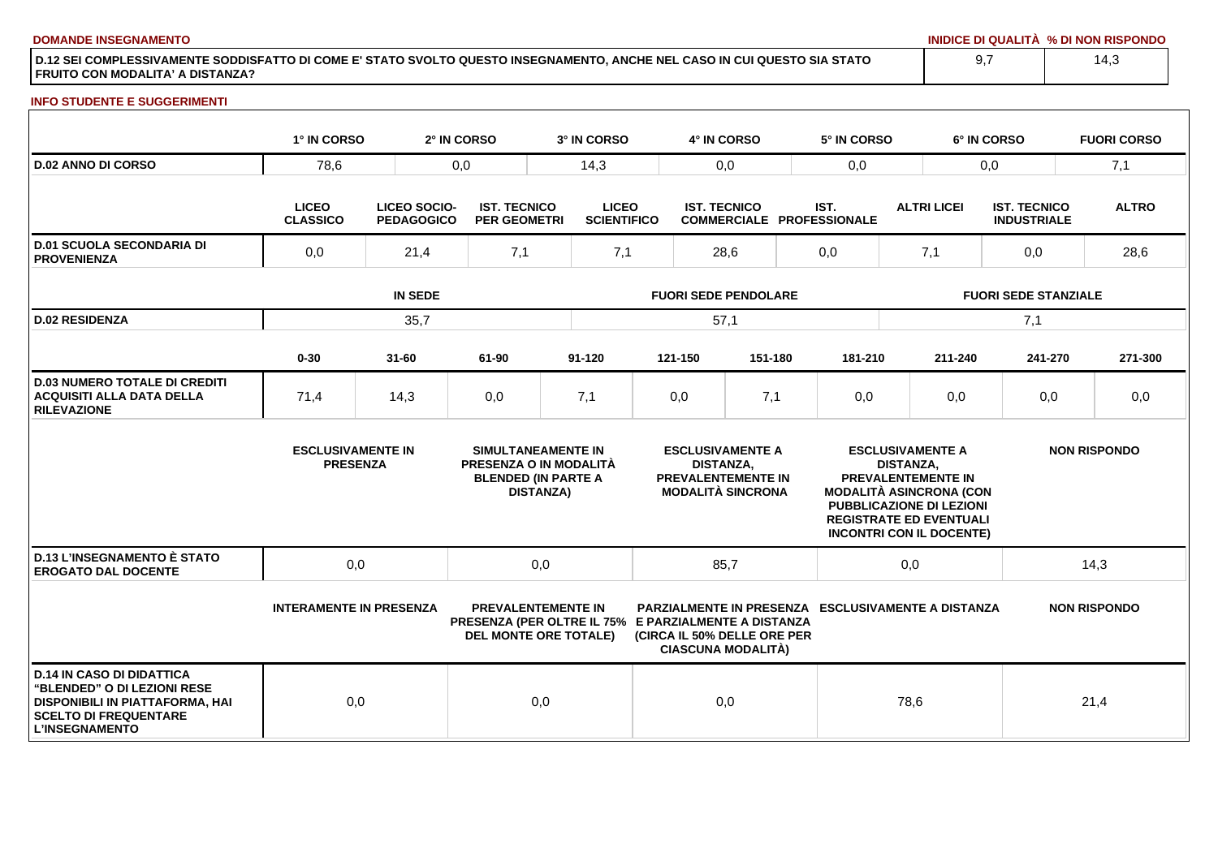**DOMANDE INSEGNAMENTO INIDICE DI QUALITÀ % DI NON RISPONDO**

**D.12 SEI COMPLESSIVAMENTE SODDISFATTO DI COME E' STATO SVOLTO QUESTO INSEGNAMENTO, ANCHE NEL CASO IN CUI QUESTO SIA STATO FRUITO CON MODALITA' A DISTANZA?**

### **INFO STUDENTE E SUGGERIMENTI**

|                                                                                                                                                                    | 1° IN CORSO                                                                 |           | 2° IN CORSO                                | 3° IN CORSO                                                                                                       |      | 4° IN CORSO         |                                                                                  |                                          | 5° IN CORSO                                                                                                                                           |                                             | 6° IN CORSO |                                           | <b>FUORI CORSO</b>  |
|--------------------------------------------------------------------------------------------------------------------------------------------------------------------|-----------------------------------------------------------------------------|-----------|--------------------------------------------|-------------------------------------------------------------------------------------------------------------------|------|---------------------|----------------------------------------------------------------------------------|------------------------------------------|-------------------------------------------------------------------------------------------------------------------------------------------------------|---------------------------------------------|-------------|-------------------------------------------|---------------------|
| <b>D.02 ANNO DI CORSO</b>                                                                                                                                          | 78,6                                                                        | 0,0       |                                            | 14,3                                                                                                              |      | 0,0                 |                                                                                  | 0,0                                      |                                                                                                                                                       | 0,0                                         |             |                                           | 7,1                 |
|                                                                                                                                                                    | <b>LICEO</b><br><b>LICEO SOCIO-</b><br><b>CLASSICO</b><br><b>PEDAGOGICO</b> |           | <b>IST. TECNICO</b><br><b>PER GEOMETRI</b> | <b>LICEO</b><br><b>SCIENTIFICO</b>                                                                                |      | <b>IST. TECNICO</b> |                                                                                  | IST.<br><b>COMMERCIALE PROFESSIONALE</b> |                                                                                                                                                       | <b>ALTRI LICEI</b>                          |             | <b>IST. TECNICO</b><br><b>INDUSTRIALE</b> | <b>ALTRO</b>        |
| <b>D.01 SCUOLA SECONDARIA DI</b><br><b>PROVENIENZA</b>                                                                                                             | 0,0<br>21,4                                                                 |           | 7,1                                        | 7,1                                                                                                               | 28,6 |                     |                                                                                  | 0,0                                      |                                                                                                                                                       | 7,1                                         |             | 0,0                                       | 28,6                |
|                                                                                                                                                                    |                                                                             |           | <b>FUORI SEDE PENDOLARE</b>                |                                                                                                                   |      |                     |                                                                                  | <b>FUORI SEDE STANZIALE</b>              |                                                                                                                                                       |                                             |             |                                           |                     |
| <b>D.02 RESIDENZA</b>                                                                                                                                              |                                                                             | 35,7      |                                            |                                                                                                                   | 57,1 |                     |                                                                                  |                                          |                                                                                                                                                       |                                             |             | 7,1                                       |                     |
|                                                                                                                                                                    | $0 - 30$                                                                    | $31 - 60$ | 61-90                                      | $91 - 120$                                                                                                        |      | 121-150             | 151-180                                                                          |                                          | 181-210                                                                                                                                               |                                             | 211-240     | 241-270                                   | 271-300             |
| <b>D.03 NUMERO TOTALE DI CREDITI</b><br><b>ACQUISITI ALLA DATA DELLA</b><br><b>RILEVAZIONE</b>                                                                     | 71,4                                                                        | 14,3      | 0,0                                        | 7,1                                                                                                               |      | 0,0                 | 7,1                                                                              |                                          | 0,0                                                                                                                                                   |                                             | 0,0         | 0,0                                       | 0,0                 |
|                                                                                                                                                                    | <b>ESCLUSIVAMENTE IN</b><br><b>PRESENZA</b>                                 |           |                                            | SIMULTANEAMENTE IN<br>PRESENZA O IN MODALITÀ<br><b>BLENDED (IN PARTE A</b><br><b>DISTANZA)</b>                    |      | <b>DISTANZA,</b>    | <b>ESCLUSIVAMENTE A</b><br><b>PREVALENTEMENTE IN</b><br><b>MODALITÀ SINCRONA</b> |                                          | PREVALENTEMENTE IN<br><b>MODALITÀ ASINCRONA (CON</b><br>PUBBLICAZIONE DI LEZIONI<br><b>REGISTRATE ED EVENTUALI</b><br><b>INCONTRI CON IL DOCENTE)</b> | <b>ESCLUSIVAMENTE A</b><br><b>DISTANZA.</b> |             |                                           | <b>NON RISPONDO</b> |
| <b>D.13 L'INSEGNAMENTO È STATO</b><br><b>EROGATO DAL DOCENTE</b>                                                                                                   | 0,0                                                                         |           |                                            | 0,0                                                                                                               |      | 85,7                |                                                                                  |                                          |                                                                                                                                                       | 0,0                                         |             |                                           | 14,3                |
|                                                                                                                                                                    | <b>INTERAMENTE IN PRESENZA</b>                                              |           |                                            | <b>PREVALENTEMENTE IN</b><br>PRESENZA (PER OLTRE IL 75% E PARZIALMENTE A DISTANZA<br><b>DEL MONTE ORE TOTALE)</b> |      |                     | (CIRCA IL 50% DELLE ORE PER<br><b>CIASCUNA MODALITÀ)</b>                         |                                          | <b>PARZIALMENTE IN PRESENZA ESCLUSIVAMENTE A DISTANZA</b>                                                                                             |                                             |             |                                           | <b>NON RISPONDO</b> |
| <b>D.14 IN CASO DI DIDATTICA</b><br><b>"BLENDED" O DI LEZIONI RESE</b><br>DISPONIBILI IN PIATTAFORMA, HAI<br><b>SCELTO DI FREQUENTARE</b><br><b>L'INSEGNAMENTO</b> | 0,0                                                                         |           |                                            | 0,0                                                                                                               |      | 0,0                 |                                                                                  |                                          |                                                                                                                                                       | 78,6                                        |             |                                           | 21,4                |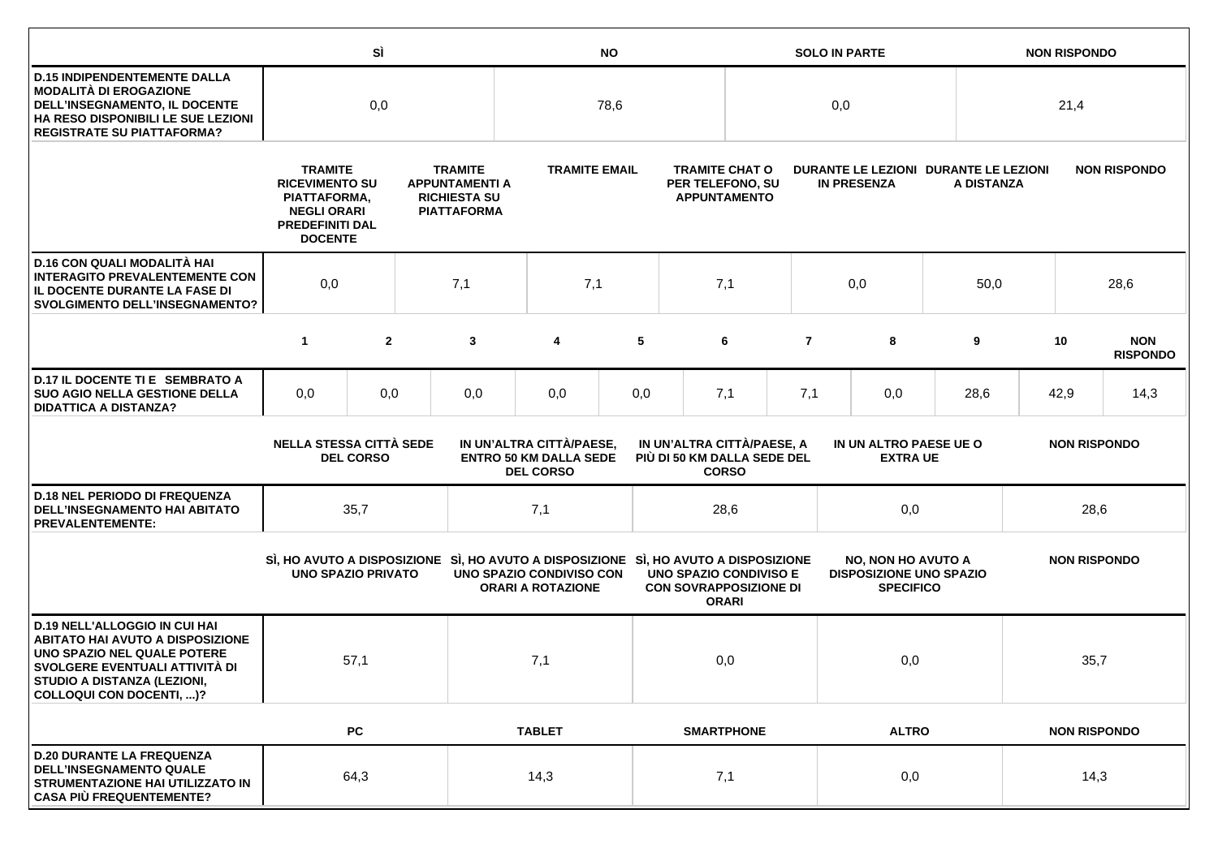|                                                                                                                                                                                                                           |                                                                                                                                                                                                                   | SÌ               |     | <b>NO</b>                                                                                                       |                                                                               |     |                                                                  |                   | <b>SOLO IN PARTE</b>                                        |                                                                                 |                                           |                     | <b>NON RISPONDO</b> |                     |                               |
|---------------------------------------------------------------------------------------------------------------------------------------------------------------------------------------------------------------------------|-------------------------------------------------------------------------------------------------------------------------------------------------------------------------------------------------------------------|------------------|-----|-----------------------------------------------------------------------------------------------------------------|-------------------------------------------------------------------------------|-----|------------------------------------------------------------------|-------------------|-------------------------------------------------------------|---------------------------------------------------------------------------------|-------------------------------------------|---------------------|---------------------|---------------------|-------------------------------|
| <b>D.15 INDIPENDENTEMENTE DALLA</b><br><b>MODALITÀ DI EROGAZIONE</b><br>DELL'INSEGNAMENTO, IL DOCENTE<br>HA RESO DISPONIBILI LE SUE LEZIONI<br><b>REGISTRATE SU PIATTAFORMA?</b>                                          | 0,0                                                                                                                                                                                                               |                  |     |                                                                                                                 | 78,6                                                                          |     |                                                                  |                   | 0,0                                                         |                                                                                 |                                           |                     | 21,4                |                     |                               |
|                                                                                                                                                                                                                           | <b>TRAMITE</b><br><b>TRAMITE</b><br><b>RICEVIMENTO SU</b><br><b>APPUNTAMENTI A</b><br><b>RICHIESTA SU</b><br>PIATTAFORMA,<br><b>NEGLI ORARI</b><br><b>PIATTAFORMA</b><br><b>PREDEFINITI DAL</b><br><b>DOCENTE</b> |                  |     | <b>TRAMITE EMAIL</b>                                                                                            |                                                                               |     | <b>TRAMITE CHAT O</b><br>PER TELEFONO, SU<br><b>APPUNTAMENTO</b> |                   | DURANTE LE LEZIONI DURANTE LE LEZIONI<br><b>IN PRESENZA</b> |                                                                                 | A DISTANZA                                |                     |                     | <b>NON RISPONDO</b> |                               |
| D.16 CON QUALI MODALITÀ HAI<br><b>INTERAGITO PREVALENTEMENTE CON</b><br>IL DOCENTE DURANTE LA FASE DI<br><b>SVOLGIMENTO DELL'INSEGNAMENTO?</b>                                                                            | 0,0                                                                                                                                                                                                               |                  | 7,1 | 7,1                                                                                                             |                                                                               | 7,1 |                                                                  |                   | 0,0                                                         |                                                                                 | 50,0                                      |                     | 28,6                |                     |                               |
|                                                                                                                                                                                                                           | $\mathbf{1}$                                                                                                                                                                                                      | $\mathbf{2}$     |     | 3                                                                                                               | 4                                                                             | 5   |                                                                  | 6                 | $\overline{7}$                                              |                                                                                 | 8                                         | 9                   |                     | 10                  | <b>NON</b><br><b>RISPONDO</b> |
| D.17 IL DOCENTE TI E SEMBRATO A<br><b>SUO AGIO NELLA GESTIONE DELLA</b><br><b>DIDATTICA A DISTANZA?</b>                                                                                                                   | 0,0                                                                                                                                                                                                               | 0,0              |     | 0,0                                                                                                             | 0,0                                                                           | 0,0 |                                                                  | 7,1               | 7,1                                                         | 0,0                                                                             |                                           | 28,6                |                     | 42,9                | 14,3                          |
|                                                                                                                                                                                                                           | <b>NELLA STESSA CITTÀ SEDE</b>                                                                                                                                                                                    | <b>DEL CORSO</b> |     |                                                                                                                 | IN UN'ALTRA CITTÀ/PAESE,<br><b>ENTRO 50 KM DALLA SEDE</b><br><b>DEL CORSO</b> |     | IN UN'ALTRA CITTÀ/PAESE, A<br>PIÙ DI 50 KM DALLA SEDE DEL        | <b>CORSO</b>      |                                                             |                                                                                 | IN UN ALTRO PAESE UE O<br><b>EXTRA UE</b> |                     |                     | <b>NON RISPONDO</b> |                               |
| <b>D.18 NEL PERIODO DI FREQUENZA</b><br>DELL'INSEGNAMENTO HAI ABITATO<br><b>PREVALENTEMENTE:</b>                                                                                                                          |                                                                                                                                                                                                                   | 35,7             |     |                                                                                                                 | 7,1                                                                           |     |                                                                  | 28,6              |                                                             | 0,0                                                                             |                                           |                     | 28,6                |                     |                               |
|                                                                                                                                                                                                                           | <b>UNO SPAZIO PRIVATO</b>                                                                                                                                                                                         |                  |     | SI, HO AVUTO A DISPOSIZIONE SI, HO AVUTO A DISPOSIZIONE SI, HO AVUTO A DISPOSIZIONE<br>UNO SPAZIO CONDIVISO CON | <b>ORARI A ROTAZIONE</b>                                                      |     | <b>UNO SPAZIO CONDIVISO E</b><br><b>CON SOVRAPPOSIZIONE DI</b>   | <b>ORARI</b>      |                                                             | <b>NO, NON HO AVUTO A</b><br><b>DISPOSIZIONE UNO SPAZIO</b><br><b>SPECIFICO</b> |                                           | <b>NON RISPONDO</b> |                     |                     |                               |
| <b>D.19 NELL'ALLOGGIO IN CUI HAI</b><br><b>ABITATO HAI AVUTO A DISPOSIZIONE</b><br>UNO SPAZIO NEL QUALE POTERE<br>SVOLGERE EVENTUALI ATTIVITÀ DI<br><b>STUDIO A DISTANZA (LEZIONI,</b><br><b>COLLOQUI CON DOCENTI, )?</b> |                                                                                                                                                                                                                   | 57,1             |     |                                                                                                                 | 7,1                                                                           |     | 0,0                                                              |                   |                                                             | 0,0                                                                             |                                           |                     |                     | 35,7                |                               |
|                                                                                                                                                                                                                           |                                                                                                                                                                                                                   | ${\sf PC}$       |     |                                                                                                                 | <b>TABLET</b>                                                                 |     |                                                                  | <b>SMARTPHONE</b> |                                                             |                                                                                 | <b>ALTRO</b>                              |                     |                     | <b>NON RISPONDO</b> |                               |
| <b>D.20 DURANTE LA FREQUENZA</b><br><b>DELL'INSEGNAMENTO QUALE</b><br>STRUMENTAZIONE HAI UTILIZZATO IN<br><b>CASA PIÙ FREQUENTEMENTE?</b>                                                                                 |                                                                                                                                                                                                                   | 64,3             |     |                                                                                                                 | 14,3                                                                          |     | 7,1                                                              |                   |                                                             | 0,0                                                                             |                                           |                     | 14,3                |                     |                               |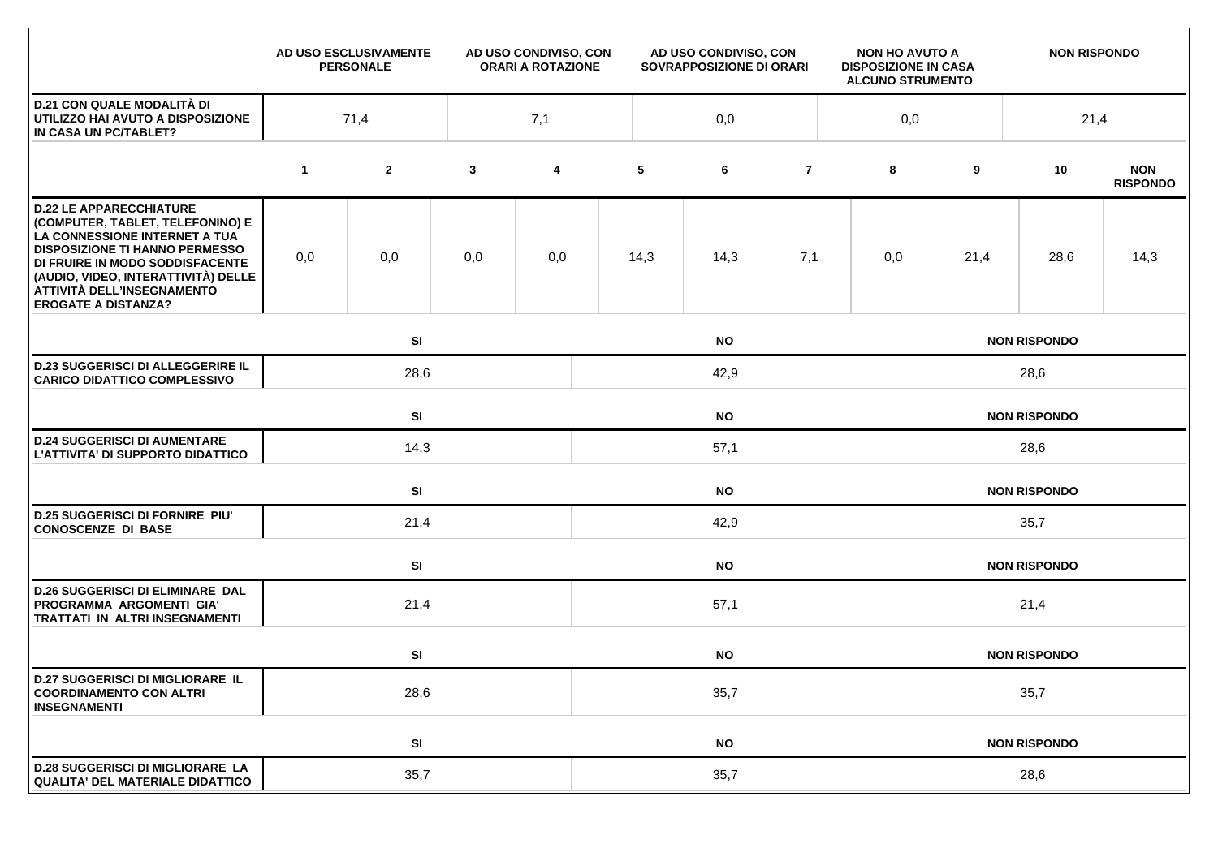|                                                                                                                                                                                                                                                                                    |             | AD USO ESCLUSIVAMENTE<br><b>PERSONALE</b> | AD USO CONDIVISO, CON<br><b>ORARI A ROTAZIONE</b> |     | AD USO CONDIVISO, CON<br>NON HO AVUTO A<br><b>SOVRAPPOSIZIONE DI ORARI</b><br><b>DISPOSIZIONE IN CASA</b> |           |                |  |                     | <b>ALCUNO STRUMENTO</b> | <b>NON RISPONDO</b> |                               |  |  |  |
|------------------------------------------------------------------------------------------------------------------------------------------------------------------------------------------------------------------------------------------------------------------------------------|-------------|-------------------------------------------|---------------------------------------------------|-----|-----------------------------------------------------------------------------------------------------------|-----------|----------------|--|---------------------|-------------------------|---------------------|-------------------------------|--|--|--|
| <b>D.21 CON QUALE MODALITÀ DI</b><br>UTILIZZO HAI AVUTO A DISPOSIZIONE<br>IN CASA UN PC/TABLET?                                                                                                                                                                                    | 7,1<br>71,4 |                                           |                                                   |     | 0,0                                                                                                       |           |                |  |                     | 0,0<br>21,4             |                     |                               |  |  |  |
|                                                                                                                                                                                                                                                                                    | $\mathbf 1$ | $\overline{2}$                            | $\mathbf{3}$                                      | 4   | 5                                                                                                         | 6         | $\overline{7}$ |  | 8                   | 9                       | 10                  | <b>NON</b><br><b>RISPONDO</b> |  |  |  |
| <b>D.22 LE APPARECCHIATURE</b><br>(COMPUTER, TABLET, TELEFONINO) E<br>LA CONNESSIONE INTERNET A TUA<br><b>DISPOSIZIONE TI HANNO PERMESSO</b><br>DI FRUIRE IN MODO SODDISFACENTE<br>(AUDIO, VIDEO, INTERATTIVITÀ) DELLE<br>ATTIVITÀ DELL'INSEGNAMENTO<br><b>EROGATE A DISTANZA?</b> | 0,0         | 0,0                                       | 0,0                                               | 0,0 | 14,3                                                                                                      | 14,3      | 7,1            |  | 0,0                 | 21,4                    | 28,6                | 14,3                          |  |  |  |
|                                                                                                                                                                                                                                                                                    |             | SI<br><b>NO</b>                           |                                                   |     |                                                                                                           |           |                |  |                     | <b>NON RISPONDO</b>     |                     |                               |  |  |  |
| <b>D.23 SUGGERISCI DI ALLEGGERIRE IL</b><br><b>CARICO DIDATTICO COMPLESSIVO</b>                                                                                                                                                                                                    |             | 28,6                                      |                                                   |     | 42,9                                                                                                      |           |                |  |                     | 28,6                    |                     |                               |  |  |  |
|                                                                                                                                                                                                                                                                                    |             | SI<br><b>NO</b>                           |                                                   |     |                                                                                                           |           |                |  | <b>NON RISPONDO</b> |                         |                     |                               |  |  |  |
| <b>D.24 SUGGERISCI DI AUMENTARE</b><br>L'ATTIVITA' DI SUPPORTO DIDATTICO                                                                                                                                                                                                           |             | 14,3                                      |                                                   |     | 57,1                                                                                                      |           |                |  |                     | 28,6                    |                     |                               |  |  |  |
|                                                                                                                                                                                                                                                                                    |             | <b>SI</b><br><b>NO</b>                    |                                                   |     |                                                                                                           |           |                |  | <b>NON RISPONDO</b> |                         |                     |                               |  |  |  |
| <b>D.25 SUGGERISCI DI FORNIRE PIU'</b><br><b>CONOSCENZE DI BASE</b>                                                                                                                                                                                                                |             | 21,4                                      |                                                   |     | 42,9                                                                                                      |           |                |  |                     | 35,7                    |                     |                               |  |  |  |
|                                                                                                                                                                                                                                                                                    |             | SI<br><b>NO</b>                           |                                                   |     |                                                                                                           |           |                |  | <b>NON RISPONDO</b> |                         |                     |                               |  |  |  |
| <b>D.26 SUGGERISCI DI ELIMINARE DAL</b><br>PROGRAMMA ARGOMENTI GIA'<br>TRATTATI IN ALTRI INSEGNAMENTI                                                                                                                                                                              |             | 21,4                                      |                                                   |     | 57,1                                                                                                      |           |                |  |                     | 21,4                    |                     |                               |  |  |  |
|                                                                                                                                                                                                                                                                                    |             | SI                                        |                                                   |     |                                                                                                           | <b>NO</b> |                |  |                     |                         | <b>NON RISPONDO</b> |                               |  |  |  |
| <b>D.27 SUGGERISCI DI MIGLIORARE IL</b><br><b>COORDINAMENTO CON ALTRI</b><br><b>INSEGNAMENTI</b>                                                                                                                                                                                   |             | 28,6                                      |                                                   |     | 35,7                                                                                                      |           |                |  |                     | 35,7                    |                     |                               |  |  |  |
|                                                                                                                                                                                                                                                                                    |             | SI                                        |                                                   |     | <b>NO</b>                                                                                                 |           |                |  |                     | <b>NON RISPONDO</b>     |                     |                               |  |  |  |
| <b>D.28 SUGGERISCI DI MIGLIORARE LA</b><br><b>QUALITA' DEL MATERIALE DIDATTICO</b>                                                                                                                                                                                                 |             | 35,7                                      |                                                   |     | 35,7                                                                                                      |           |                |  |                     | 28,6                    |                     |                               |  |  |  |